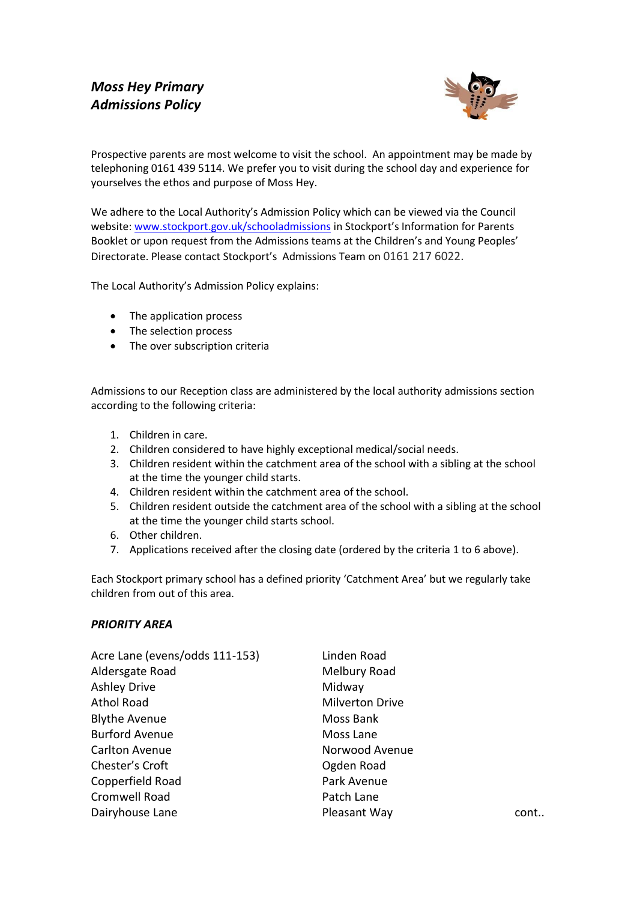

Prospective parents are most welcome to visit the school. An appointment may be made by telephoning 0161 439 5114. We prefer you to visit during the school day and experience for yourselves the ethos and purpose of Moss Hey.

We adhere to the Local Authority's Admission Policy which can be viewed via the Council website[: www.stockport.gov.uk/schooladmissions](http://www.stockport.gov.uk/schooladmissions) in Stockport's Information for Parents Booklet or upon request from the Admissions teams at the Children's and Young Peoples' Directorate. Please contact Stockport's Admissions Team on 0161 217 6022.

The Local Authority's Admission Policy explains:

- The application process
- The selection process
- The over subscription criteria

Admissions to our Reception class are administered by the local authority admissions section according to the following criteria:

- 1. Children in care.
- 2. Children considered to have highly exceptional medical/social needs.
- 3. Children resident within the catchment area of the school with a sibling at the school at the time the younger child starts.
- 4. Children resident within the catchment area of the school.
- 5. Children resident outside the catchment area of the school with a sibling at the school at the time the younger child starts school.
- 6. Other children.
- 7. Applications received after the closing date (ordered by the criteria 1 to 6 above).

Each Stockport primary school has a defined priority 'Catchment Area' but we regularly take children from out of this area.

## *PRIORITY AREA*

| Acre Lane (evens/odds 111-153) | Linden Road            |
|--------------------------------|------------------------|
| Aldersgate Road                | Melbury Road           |
| <b>Ashley Drive</b>            | Midway                 |
| <b>Athol Road</b>              | <b>Milverton Drive</b> |
| <b>Blythe Avenue</b>           | Moss Bank              |
| <b>Burford Avenue</b>          | Moss Lane              |
| Carlton Avenue                 | Norwood Avenue         |
| Chester's Croft                | Ogden Road             |
| Copperfield Road               | Park Avenue            |
| Cromwell Road                  | Patch Lane             |
| Dairyhouse Lane                | Pleasant Way<br>cont   |